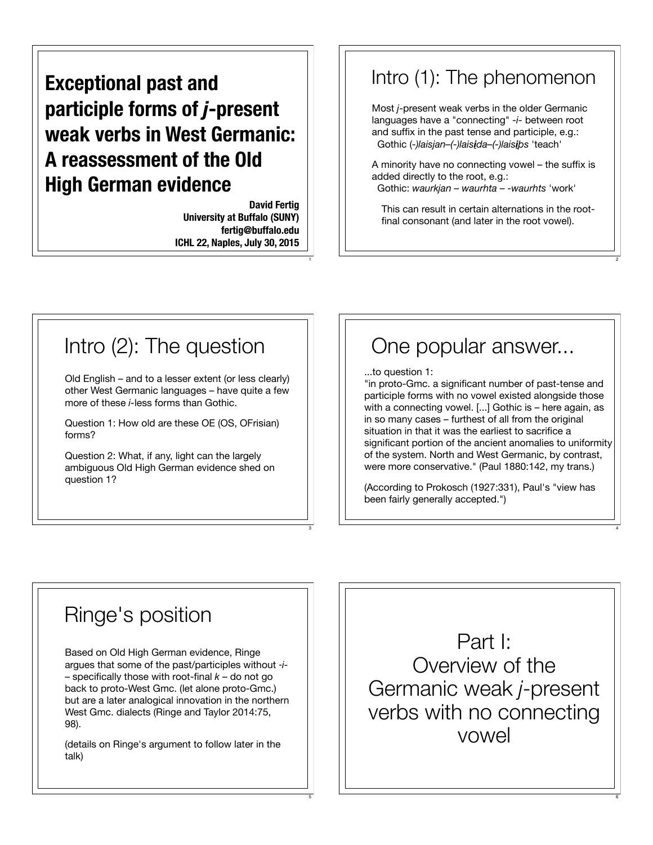#### **Exceptional past and participle forms of** *j***-present weak verbs in West Germanic: A reassessment of the Old High German evidence**

**David Fertig University at Buffalo (SUNY) fertig@buffalo.edu ICHL 22, Naples, July 30, 2015**

1

3

5

#### Intro (1): The phenomenon

Most *j*-present weak verbs in the older Germanic languages have a "connecting" *-i-* between root and suffix in the past tense and participle, e.g.: Gothic (*-)laisjan–(-)laisida–(-)laisi!s* 'teach'

A minority have no connecting vowel – the suffix is added directly to the root, e.g.:

Gothic: *waurkjan* – *waurhta* – *-waurhts* 'work'

This can result in certain alternations in the rootfinal consonant (and later in the root vowel).

2

4

6

#### Intro (2): The question

Old English – and to a lesser extent (or less clearly) other West Germanic languages – have quite a few more of these *i-*less forms than Gothic.

Question 1: How old are these OE (OS, OFrisian) forms?

Question 2: What, if any, light can the largely ambiguous Old High German evidence shed on question 1?

#### One popular answer...

...to question 1:

"in proto-Gmc. a significant number of past-tense and participle forms with no vowel existed alongside those with a connecting vowel. [...] Gothic is – here again, as in so many cases – furthest of all from the original situation in that it was the earliest to sacrifice a significant portion of the ancient anomalies to uniformity of the system. North and West Germanic, by contrast, were more conservative." (Paul 1880:142, my trans.)

(According to Prokosch (1927:331), Paul's "view has been fairly generally accepted.")

#### Ringe's position

Based on Old High German evidence, Ringe argues that some of the past/participles without ‑*i-* – specifically those with root-final *k* – do not go back to proto-West Gmc. (let alone proto-Gmc.) but are a later analogical innovation in the northern West Gmc. dialects (Ringe and Taylor 2014:75, 98).

(details on Ringe's argument to follow later in the talk)

Part I: Overview of the Germanic weak *j*-present verbs with no connecting vowel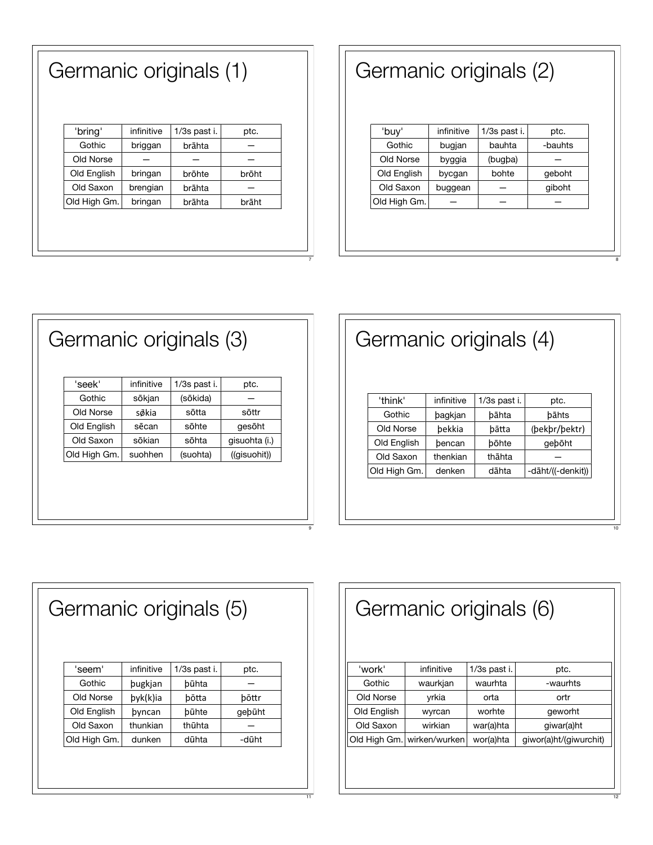| infinitive | 1/3s past i. | ptc.  |
|------------|--------------|-------|
| briggan    | brāhta       |       |
|            |              |       |
| bringan    | brōhte       | brōht |
| brengian   | brāhta       |       |
| bringan    | brāhta       | brāht |
|            |              |       |

Germanic originals (1)

#### Germanic originals (2)

| infinitive | 1/3s past i. | ptc.    |
|------------|--------------|---------|
| bugjan     | bauhta       | -bauhts |
| byggia     | (bugba)      |         |
| bycgan     | bohte        | geboht  |
| buggean    |              | qiboht  |
|            |              |         |
|            |              |         |
|            |              |         |
|            |              |         |

| Germanic originals (3) |              |            |              |               |
|------------------------|--------------|------------|--------------|---------------|
|                        | 'seek'       | infinitive | 1/3s past i. | ptc.          |
|                        | Gothic       | sōkjan     | (sōkida)     |               |
|                        | Old Norse    | søkia      | sōtta        | sōttr         |
|                        | Old English  | sēcan      | sōhte        | gesöht        |
|                        | Old Saxon    | sōkian     | sōhta        | qisuohta (i.) |
|                        | Old High Gm. | suohhen    | (suohta)     | ((gisuohit))  |
|                        |              |            |              |               |

# Germanic originals (4)

| 'think'               | infinitive | 1/3s past i. | ptc.              |
|-----------------------|------------|--------------|-------------------|
| Gothic<br>bagkjan     |            | bāhta        | bāhts             |
| Old Norse             | bekkia     | bātta        | (bekbr/bektr)     |
| Old English           | bencan     | bōhte        | geböht            |
| Old Saxon<br>thenkian |            | thāhta       |                   |
| Old High Gm.          | denken     | dāhta        | -dāht/((-denkit)) |
|                       |            |              |                   |

| Germanic originals (5) |            |              |        |  |
|------------------------|------------|--------------|--------|--|
| 'seem'                 | infinitive | 1/3s past i. | ptc.   |  |
| Gothic                 | pugkjan    | būhta        |        |  |
| Old Norse              | byk(k)ia   | bōtta        | bōttr  |  |
| Old English            | byncan     | būhte        | gebūht |  |
| Old Saxon              | thunkian   | thūhta       |        |  |
| Old High Gm.           | dunken     | dūhta        | -dūht  |  |
|                        |            |              |        |  |
|                        |            |              |        |  |

| Germanic originals (6) |                              |              |                        |  |
|------------------------|------------------------------|--------------|------------------------|--|
| 'work'                 | infinitive                   | 1/3s past i. | ptc.                   |  |
| Gothic                 | waurkjan                     | waurhta      | -waurhts               |  |
| Old Norse              | yrkia                        | orta         | ortr                   |  |
| Old English            | wyrcan                       | worhte       | geworht                |  |
| Old Saxon              | wirkian                      | war(a)hta    | giwar(a)ht             |  |
|                        | Old High Gm.   wirken/wurken | wor(a)hta    | giwor(a)ht/(giwurchit) |  |
|                        |                              |              |                        |  |
|                        |                              |              |                        |  |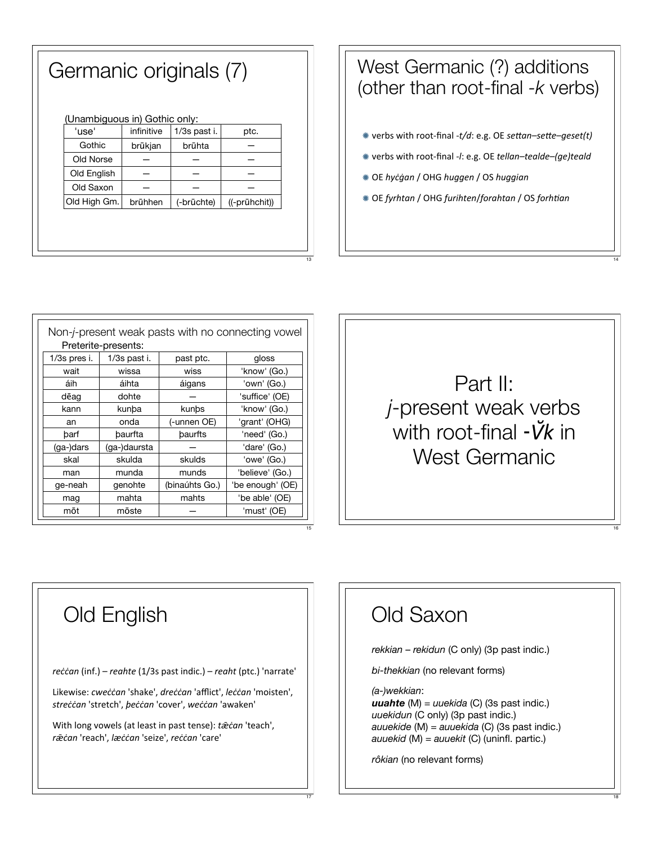#### Germanic originals (7)

| (Unambiguous in) Gothic only: |  |  |
|-------------------------------|--|--|
|                               |  |  |

| 'use'        | infinitive | 1/3s past i. | ptc.          |
|--------------|------------|--------------|---------------|
| Gothic       | brūkjan    | brūhta       |               |
| Old Norse    |            |              |               |
| Old English  |            |              |               |
| Old Saxon    |            |              |               |
| Old High Gm. | brühhen    | (-brūchte)   | ((-prūhchit)) |
|              |            |              |               |

#### West Germanic (?) additions (other than root-final  $-k$  verbs)

- \* verbs with root-final -t/d: e.g. OE settan-sette-geset(t)
- \* verbs with root-final -I: e.g. OE tellan-tealde-(ge)teald
- \* OE hycgan / OHG huggen / OS huggian
- \* OE fyrhtan / OHG furihten/forahtan / OS forhtian

| Non-j-present weak pasts with no connecting vowel |              |                |                  |  |  |
|---------------------------------------------------|--------------|----------------|------------------|--|--|
| Preterite-presents:                               |              |                |                  |  |  |
| 1/3s pres i.                                      | 1/3s past i. | past ptc.      | gloss            |  |  |
| wait                                              | wissa        | wiss           | 'know' (Go.)     |  |  |
| áih                                               | áihta        | áigans         | 'own' (Go.)      |  |  |
| dēag                                              | dohte        |                | 'suffice' (OE)   |  |  |
| kann                                              | kunba        | kunbs          | 'know' (Go.)     |  |  |
| an                                                | onda         | (-unnen OE)    | 'grant' (OHG)    |  |  |
| barf                                              | baurfta      | baurfts        | 'need' (Go.)     |  |  |
| $(ga-)dars$                                       | (ga-)daursta |                | 'dare' (Go.)     |  |  |
| skal                                              | skulda       | skulds         | 'owe' (Go.)      |  |  |
| man                                               | munda        | munds          | 'believe' (Go.)  |  |  |
| ge-neah                                           | genohte      | (binaúhts Go.) | 'be enough' (OE) |  |  |
| mag                                               | mahta        | mahts          | 'be able' (OE)   |  |  |
| mōt                                               | mōste        |                | 'must' (OE)      |  |  |

# Part II: *j*-present weak verbs with root-final  $\cdot$  V $k$  in **West Germanic**

## **Old English**

reccan (inf.) - reahte (1/3s past indic.) - reaht (ptc.) 'narrate'

Likewise: cweccan 'shake', dreccan 'afflict', leccan 'moisten', streċċan 'stretch', peċċan 'cover', weċċan 'awaken'

With long vowels (at least in past tense): tæcan 'teach', ræcan 'reach', læccan 'seize', reccan 'care'

#### Old Saxon

rekkian - rekidun (C only) (3p past indic.)

bi-thekkian (no relevant forms)

(a-)wekkian:

**uuahte** (M) =  $u$ uekida (C) (3s past indic.) uuekidun (C only) (3p past indic.) auuekide (M) = auuekida (C) (3s past indic.) auuekid (M) =  $a$ uuekit (C) (uninfl. partic.)

rôkian (no relevant forms)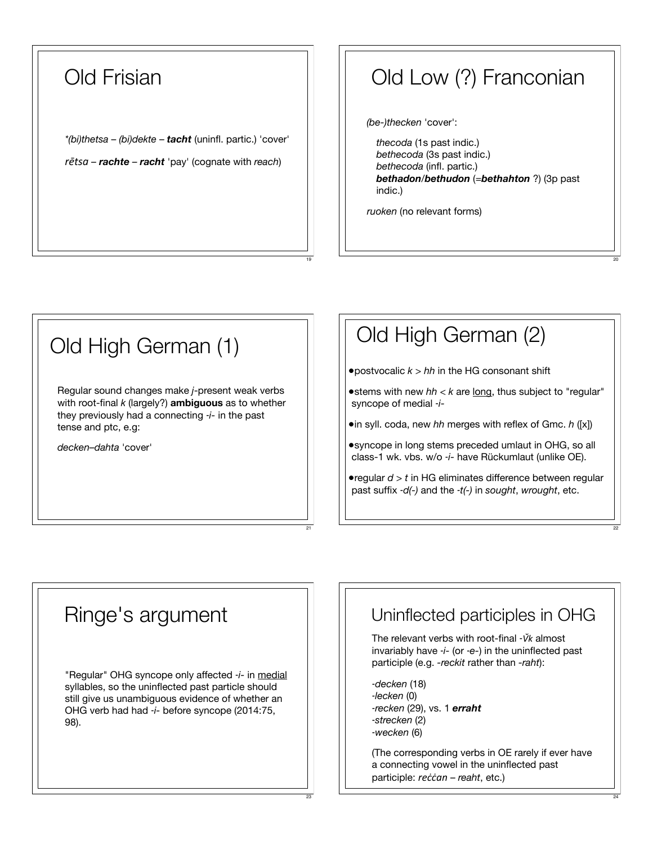#### Old Frisian

*\*(bi)thetsa* – *(bi)dekte* – *tacht* (uninfl. partic.) 'cover' *fetsa – rachte – <i>racht* 'pay' (cognate with *reach*)

#### Old Low (?) Franconian

*(be-)thecken* 'cover':

*thecoda* (1s past indic.) *bethecoda* (3s past indic.) *bethecoda* (infl. partic.) *bethadon/bethudon* (=*bethahton* ?) (3p past indic.)

20

22

24

*ruoken* (no relevant forms)

19

21

23

# Old High German (1) Regular sound changes make *j*-present weak verbs with root-final *k* (largely?) **ambiguous** as to whether they previously had a connecting ‑*i-* in the past tense and ptc, e.g: *decken–dahta* 'cover'

#### Old High German (2) •postvocalic *k* > *hh* in the HG consonant shift •stems with new *hh* < *k* are long, thus subject to "regular" syncope of medial ‑*i-* •in syll. coda, new *hh* merges with reflex of Gmc. *h* ([x]) •syncope in long stems preceded umlaut in OHG, so all class-1 wk. vbs. w/o ‑*i-* have Rückumlaut (unlike OE).

•regular *d* > *t* in HG eliminates difference between regular past suffix ‑*d(-)* and the ‑*t(-)* in *sought*, *wrought*, etc.

#### Ringe's argument

"Regular" OHG syncope only affected ‑*i-* in medial syllables, so the uninflected past particle should still give us unambiguous evidence of whether an OHG verb had had -*i*- before syncope (2014:75, 98).

### Uninflected participles in OHG

The relevant verbs with root-final -*Vk* almost invariably have ‑*i-* (or ‑*e-*) in the uninflected past participle (e.g. *-reckit* rather than *-raht*):

‑*decken* (18) ‑*lecken* (0) ‑*recken* (29), vs. 1 *erraht* ‑*strecken* (2) ‑*wecken* (6)

(The corresponding verbs in OE rarely if ever have a connecting vowel in the uninflected past participle: *reccan* – *reaht*, etc.)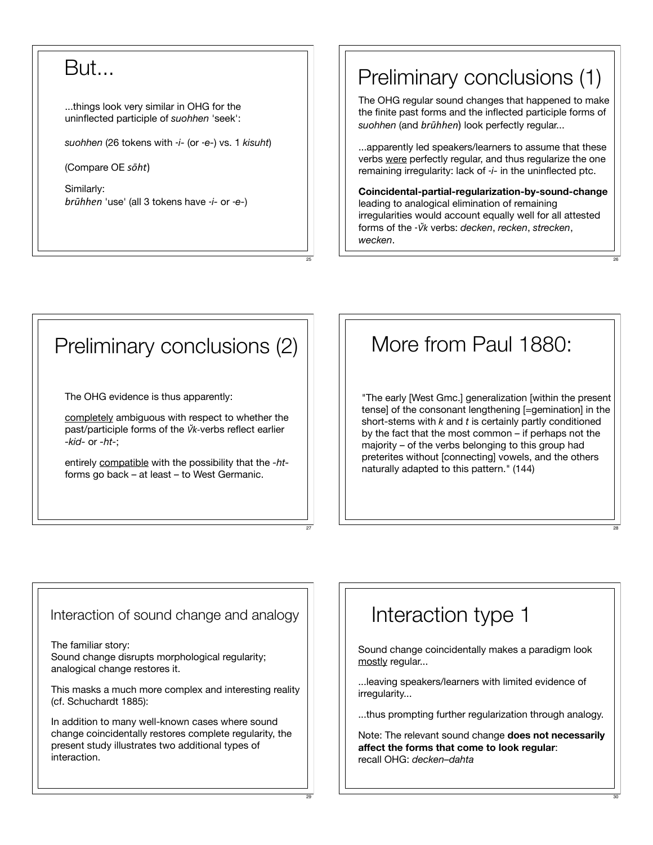#### But...

...things look very similar in OHG for the uninflected participle of *suohhen* 'seek':

*suohhen* (26 tokens with ‑*i-* (or ‑*e-*) vs. 1 *kisuht*)

(Compare OE  $s\bar{o}ht$ )

Similarly: *C6D//&)* 'use' (all 3 tokens have ‑*i-* or ‑*e-*)

#### Preliminary conclusions (1)

The OHG regular sound changes that happened to make the finite past forms and the inflected participle forms of suohhen (and *brūhhen*) look perfectly regular...

...apparently led speakers/learners to assume that these verbs were perfectly regular, and thus regularize the one remaining irregularity: lack of ‑*i-* in the uninflected ptc.

**Coincidental-partial-regularization-by-sound-change** leading to analogical elimination of remaining irregularities would account equally well for all attested forms of the -*Vk* verbs: *decken*, *recken*, *strecken*, *wecken*.

26

28

30

#### Preliminary conclusions (2)

25

27

29

The OHG evidence is thus apparently:

completely ambiguous with respect to whether the past/participle forms of the *Vk*-verbs reflect earlier *-kid-* or *-ht-*;

entirely compatible with the possibility that the *-ht*forms go back – at least – to West Germanic.

#### More from Paul 1880:

"The early [West Gmc.] generalization [within the present tense] of the consonant lengthening [=gemination] in the short-stems with *k* and *t* is certainly partly conditioned by the fact that the most common – if perhaps not the majority – of the verbs belonging to this group had preterites without [connecting] vowels, and the others naturally adapted to this pattern." (144)

#### Interaction of sound change and analogy

The familiar story: Sound change disrupts morphological regularity; analogical change restores it.

This masks a much more complex and interesting reality (cf. Schuchardt 1885):

In addition to many well-known cases where sound change coincidentally restores complete regularity, the present study illustrates two additional types of interaction.

#### Interaction type 1

Sound change coincidentally makes a paradigm look mostly regular...

...leaving speakers/learners with limited evidence of irregularity...

...thus prompting further regularization through analogy.

Note: The relevant sound change **does not necessarily affect the forms that come to look regular**: recall OHG: *decken–dahta*